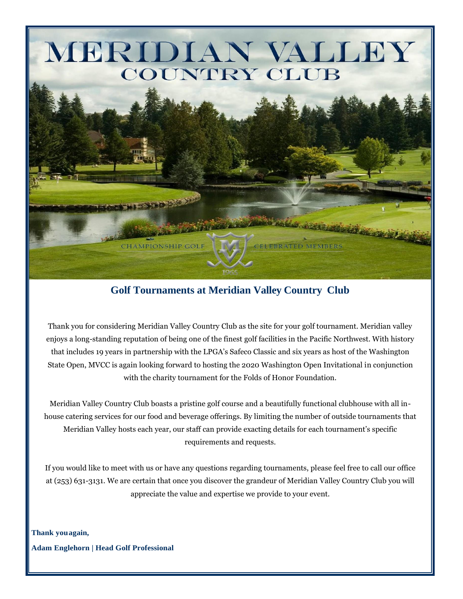

# **Golf Tournaments at Meridian Valley Country Club**

Thank you for considering Meridian Valley Country Club as the site for your golf tournament. Meridian valley enjoys a long-standing reputation of being one of the finest golf facilities in the Pacific Northwest. With history that includes 19 years in partnership with the LPGA's Safeco Classic and six years as host of the Washington State Open, MVCC is again looking forward to hosting the 2020 Washington Open Invitational in conjunction with the charity tournament for the Folds of Honor Foundation.

Meridian Valley Country Club boasts a pristine golf course and a beautifully functional clubhouse with all inhouse catering services for our food and beverage offerings. By limiting the number of outside tournaments that Meridian Valley hosts each year, our staff can provide exacting details for each tournament's specific requirements and requests.

If you would like to meet with us or have any questions regarding tournaments, please feel free to call our office at (253) 631-3131. We are certain that once you discover the grandeur of Meridian Valley Country Club you will appreciate the value and expertise we provide to your event.

**Thank youagain, Adam Englehorn | Head Golf Professional**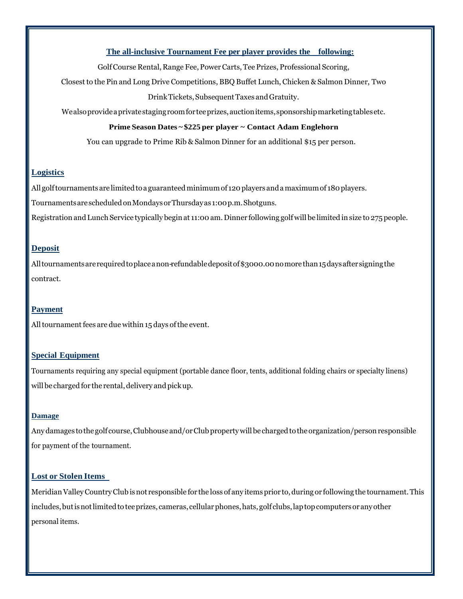## **The all-inclusive Tournament Fee per player provides the following:**

GolfCourse Rental, Range Fee,PowerCarts, Tee Prizes, Professional Scoring,

Closest to the Pin and Long Drive Competitions, BBQ Buffet Lunch, Chicken & Salmon Dinner, Two

#### DrinkTickets,SubsequentTaxes andGratuity.

Wealsoprovideaprivatestagingroomforteeprizes,auctionitems,sponsorshipmarketingtablesetc.

#### **Prime Season Dates ~ \$225 per player ~ Contact Adam Englehorn**

You can upgrade to Prime Rib & Salmon Dinner for an additional \$15 per person.

## **Logistics**

All golf tournaments are limited to a guaranteed minimum of 120 players and a maximum of 180 players.

TournamentsarescheduledonMondaysorThursdayas 1:00p.m.Shotguns.

Registration and Lunch Service typically begin at 11:00 am. Dinner following golf will be limited in size to 275 people.

## **Deposit**

Alltournamentsarerequiredtoplaceanon-refundabledepositof\$3000.00nomorethan15daysaftersigningthe contract.

# **Payment**

All tournament fees are due within 15 days of the event.

# **Special Equipment**

Tournaments requiring any special equipment (portable dance floor, tents, additional folding chairs or specialty linens) will be charged for the rental, delivery and pick up.

### **Damage**

Any damages to the golf course, Clubhouse and/or Club property will be charged to the organization/person responsible for payment of the tournament.

# **Lost or Stolen Items**

MeridianValleyCountryClub isnot responsible for the loss of any items prior to,duringor following the tournament.This includes, but is not limited to tee prizes, cameras, cellular phones, hats, golf clubs, laptop computers or any other personal items.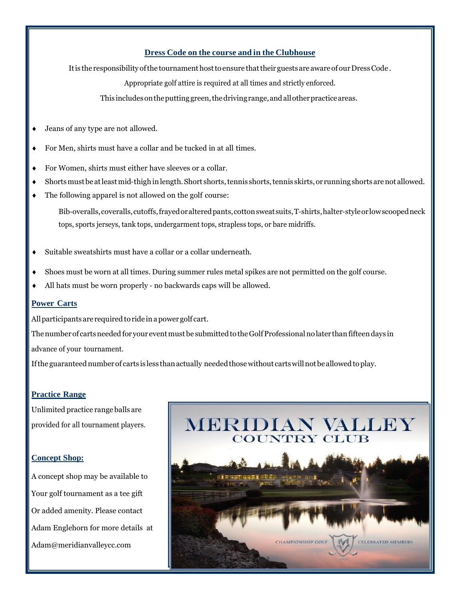## **Dress Code on the course and in the Clubhouse**

It is the responsibility of the tournament host to ensure that their guests are aware of our Dress Code.

Appropriate golf attire is required at all times and strictly enforced.

This includesontheputtinggreen,thedrivingrange,andallotherpracticeareas.

- Jeans of any type are not allowed.
- For Men, shirts must have a collar and be tucked in at all times.
- For Women, shirts must either have sleeves or a collar.
- Shorts must be at least mid-thigh in length. Short shorts, tennis shorts, tennis skirts, or running shorts are not allowed.
- The following apparel is not allowed on the golf course:

Bib‐overalls,coveralls,cutoffs,frayedoralteredpants,cottonsweatsuits,T‐shirts,halter‐styleorlowscoopedneck tops, sports jerseys, tank tops, undergarment tops, strapless tops, or bare midriffs.

- Suitable sweatshirts must have a collar or a collar underneath.
- Shoes must be worn at all times. During summer rules metal spikes are not permitted on the golf course.
- All hats must be worn properly ‐ no backwards caps will be allowed.

# **Power Carts**

All participants are required to ride in a power golf cart.

The number of carts needed for your event must be submitted to the Golf Professional no later than fifteen days in

advance of your tournament.

If the guaranteed number of carts is less than actually needed those without carts will not be allowed to play.

# **Practice Range**

Unlimited practice range balls are provided for all tournament players.

# **Concept Shop:**

A concept shop may be available to Your golf tournament as a tee gift Or added amenity. Please contact Adam Englehorn for more details at Adam@meridianvalleycc.com

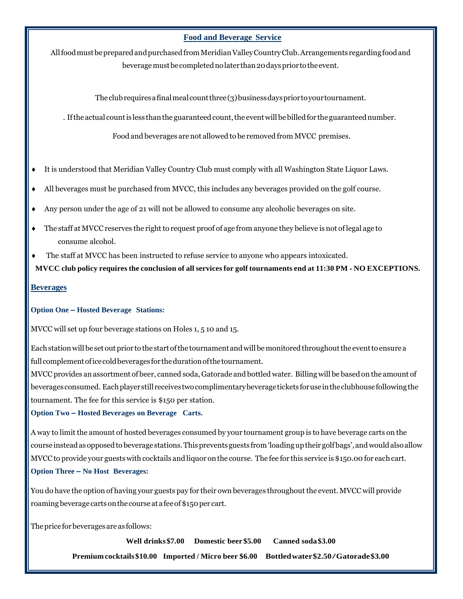#### **Food and Beverage Service**

AllfoodmustbepreparedandpurchasedfromMeridianValleyCountryClub.Arrangements regardingfoodand beveragemustbecompletednolater than20daysprior totheevent.

The club requires a final meal count three  $(3)$  business days prior to your tournament.

. If the actual count is less than the guaranteed count, the event will be billed for the guaranteed number.

Food and beverages are not allowed to be removed from MVCC premises.

- It is understood that Meridian Valley Country Club must comply with all Washington State Liquor Laws.
- All beverages must be purchased from MVCC, this includes any beverages provided on the golf course.
- Any person under the age of 21 will not be allowed to consume any alcoholic beverages on site.
- $\bullet$  The staff at MVCC reserves the right to request proof of age from anyone they believe is not of legal age to consume alcohol.
- The staff at MVCC has been instructed to refuse service to anyone who appears intoxicated.

MVCC club policy requires the conclusion of all services for golf tournaments end at 11:30 PM - NO EXCEPTIONS.

#### **Beverages**

#### **Option One – Hosted Beverage Stations:**

MVCC will set up four beverage stations on Holes 1, 5 10 and 15.

Eachstationwillbeset outprior to the start ofthe tournament andwillbemonitoredthroughoutthe eventto ensurea full complement of ice cold beverages for the duration of the tournament.

MVCC provides an assortment of beer, canned soda, Gatorade and bottled water. Billing will be based on the amount of beverages consumed. Eachplayerstill receivestwocomplimentarybeveragetickets foruseintheclubhousefollowingthe tournament. The fee for this service is \$150 per station.

#### **Option Two – Hosted Beverages on Beverage Carts.**

A way to limit the amount of hosted beverages consumed by your tournament group is to have beverage carts on the course instead as opposed to beverage stations. This prevents guests from 'loading up their golfbags', and would also allow MVCC to provide your guests with cocktails and liquor on the course. The fee for this service is \$150.00 for each cart. **Option Three – No Host Beverages:**

You do have the option of having your guests pay for their own beverages throughout the event. MVCC will provide roaming beverage carts on the course at a fee of \$150 per cart.

Theprice forbeveragesareas follows:

**Well drinks\$7.00 Domestic beer \$5.00 Canned soda\$3.00 Premium cocktails\$10.00 Imported / Micro beer \$6.00 Bottledwater\$2.50/Gatorade\$3.00**